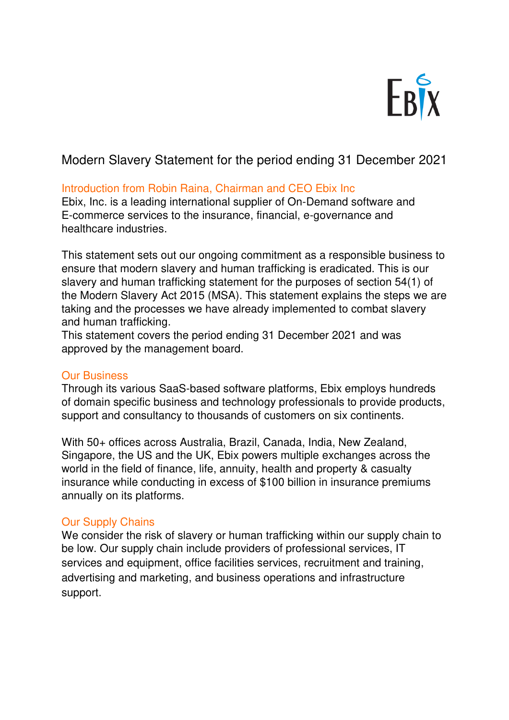

# [Modern Slavery Statement f](https://woodfordfunds.com/us/modern-slavery-statement/#content)or the period ending 31 December 2021

## Introduction from Robin Raina, Chairman and CEO Ebix Inc

Ebix, Inc. is a leading international supplier of On-Demand software and E-commerce services to the insurance, financial, e-governance and healthcare industries.

This statement sets out our ongoing commitment as a responsible business to ensure that modern slavery and human trafficking is eradicated. This is our slavery and human trafficking statement for the purposes of section 54(1) of the Modern Slavery Act 2015 (MSA). This statement explains the steps we are taking and the processes we have already implemented to combat slavery and human trafficking.

This statement covers the period ending 31 December 2021 and was approved by the management board.

### Our Business

Through its various SaaS-based software platforms, Ebix employs hundreds of domain specific business and technology professionals to provide products, support and consultancy to thousands of customers on six continents.

With 50+ offices across Australia, Brazil, Canada, India, New Zealand, Singapore, the US and the UK, Ebix powers multiple exchanges across the world in the field of finance, life, annuity, health and property & casualty insurance while conducting in excess of \$100 billion in insurance premiums annually on its platforms.

### Our Supply Chains

We consider the risk of slavery or human trafficking within our supply chain to be low. Our supply chain include providers of professional services, IT services and equipment, office facilities services, recruitment and training, advertising and marketing, and business operations and infrastructure support.